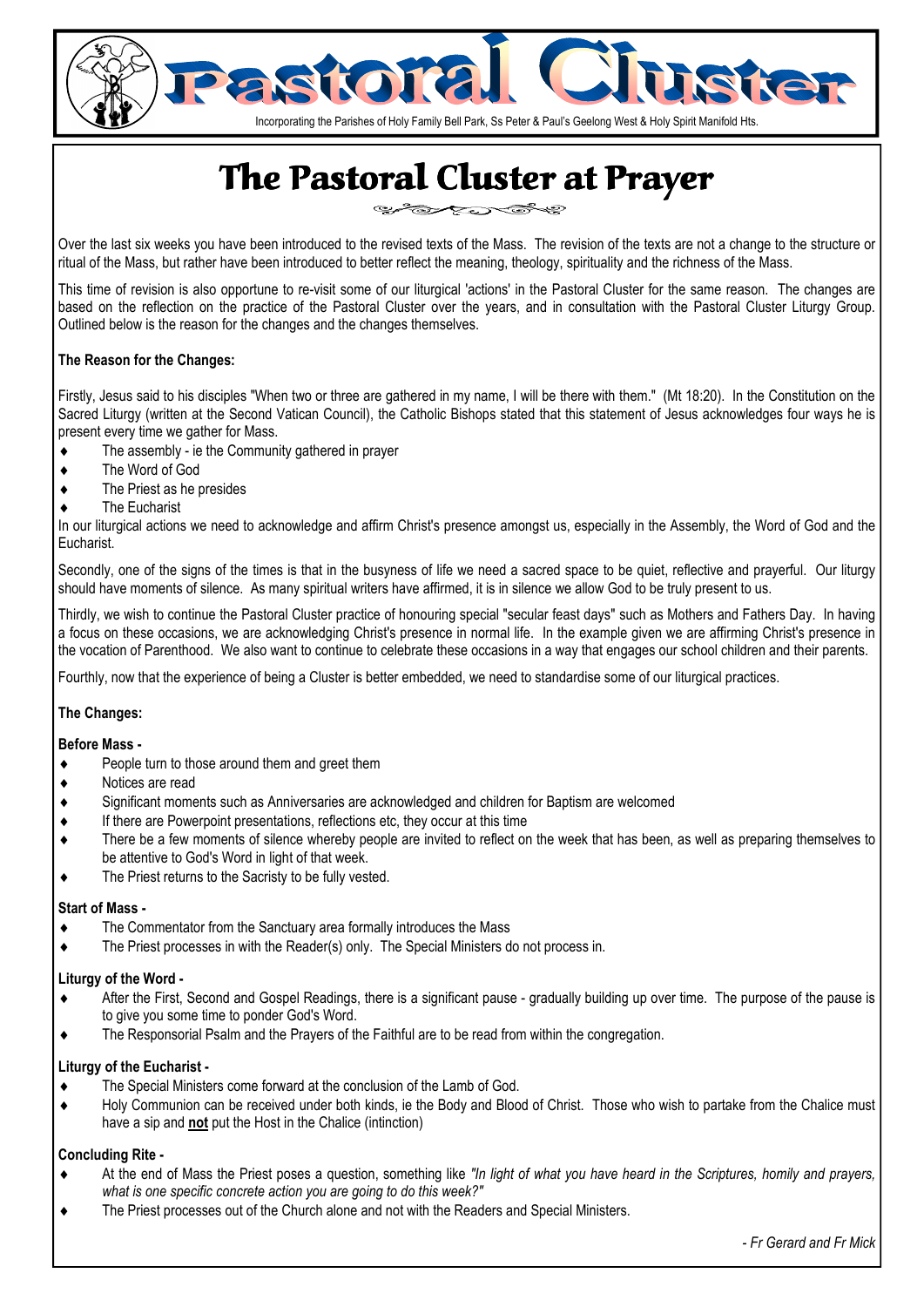

# The Pastoral Cluster at Prayer

رويجرى ৼ৾৾৾ৣৼ৽

Over the last six weeks you have been introduced to the revised texts of the Mass. The revision of the texts are not a change to the structure or ritual of the Mass, but rather have been introduced to better reflect the meaning, theology, spirituality and the richness of the Mass.

This time of revision is also opportune to re-visit some of our liturgical 'actions' in the Pastoral Cluster for the same reason. The changes are based on the reflection on the practice of the Pastoral Cluster over the years, and in consultation with the Pastoral Cluster Liturgy Group. Outlined below is the reason for the changes and the changes themselves.

#### **The Reason for the Changes:**

Firstly, Jesus said to his disciples "When two or three are gathered in my name, I will be there with them." (Mt 18:20). In the Constitution on the Sacred Liturgy (written at the Second Vatican Council), the Catholic Bishops stated that this statement of Jesus acknowledges four ways he is present every time we gather for Mass.

- ♦ The assembly ie the Community gathered in prayer
- ♦ The Word of God
- ♦ The Priest as he presides
- ♦ The Eucharist

In our liturgical actions we need to acknowledge and affirm Christ's presence amongst us, especially in the Assembly, the Word of God and the Eucharist.

Secondly, one of the signs of the times is that in the busyness of life we need a sacred space to be quiet, reflective and prayerful. Our liturgy should have moments of silence. As many spiritual writers have affirmed, it is in silence we allow God to be truly present to us.

Thirdly, we wish to continue the Pastoral Cluster practice of honouring special "secular feast days" such as Mothers and Fathers Day. In having a focus on these occasions, we are acknowledging Christ's presence in normal life. In the example given we are affirming Christ's presence in the vocation of Parenthood. We also want to continue to celebrate these occasions in a way that engages our school children and their parents.

Fourthly, now that the experience of being a Cluster is better embedded, we need to standardise some of our liturgical practices.

#### **The Changes:**

#### **Before Mass -**

- People turn to those around them and greet them
- ♦ Notices are read
- ♦ Significant moments such as Anniversaries are acknowledged and children for Baptism are welcomed
- ♦ If there are Powerpoint presentations, reflections etc, they occur at this time
- ♦ There be a few moments of silence whereby people are invited to reflect on the week that has been, as well as preparing themselves to be attentive to God's Word in light of that week.
- ♦ The Priest returns to the Sacristy to be fully vested.

#### **Start of Mass -**

- The Commentator from the Sanctuary area formally introduces the Mass
- ♦ The Priest processes in with the Reader(s) only. The Special Ministers do not process in.

#### **Liturgy of the Word -**

- After the First, Second and Gospel Readings, there is a significant pause gradually building up over time. The purpose of the pause is to give you some time to ponder God's Word.
- ♦ The Responsorial Psalm and the Prayers of the Faithful are to be read from within the congregation.

#### **Liturgy of the Eucharist -**

- The Special Ministers come forward at the conclusion of the Lamb of God.
- ♦ Holy Communion can be received under both kinds, ie the Body and Blood of Christ. Those who wish to partake from the Chalice must have a sip and **not** put the Host in the Chalice (intinction)

#### **Concluding Rite -**

- At the end of Mass the Priest poses a question, something like "In light of what you have heard in the Scriptures, homily and prayers, *what is one specific concrete action you are going to do this week?"*
- The Priest processes out of the Church alone and not with the Readers and Special Ministers.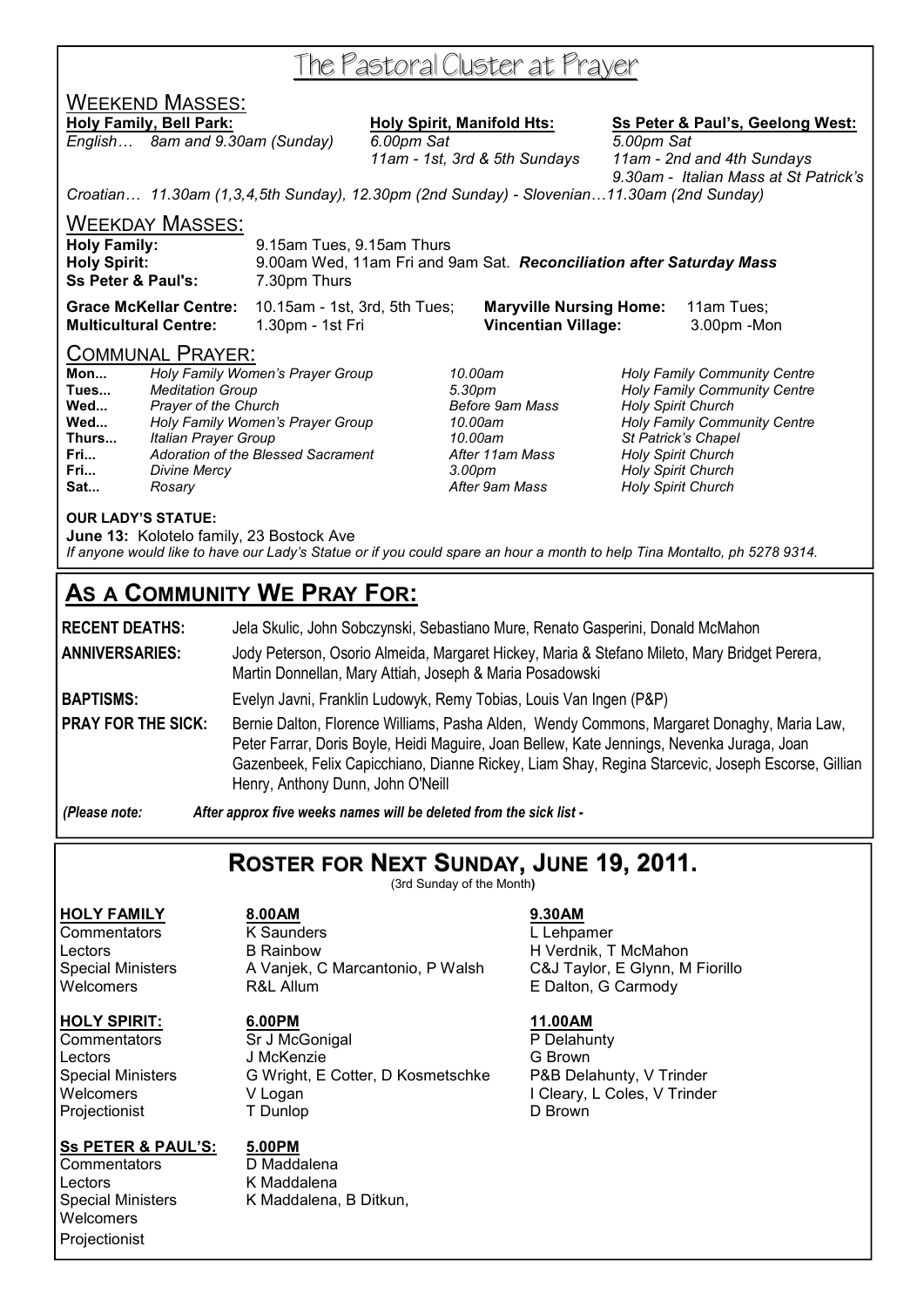## The Pastoral Cluster at Prayer

## WEEKEND MASSES:

*English… 8am and 9.30am (Sunday) 6.00pm Sat 5.00pm Sat* 

**Holy Family, Bell Park: Holy Spirit, Manifold Hts: Ss Peter & Paul's, Geelong West:**

 *11am - 1st, 3rd & 5th Sundays 11am - 2nd and 4th Sundays 9.30am - Italian Mass at St Patrick's* 

*Croatian… 11.30am (1,3,4,5th Sunday), 12.30pm (2nd Sunday) - Slovenian…11.30am (2nd Sunday)* 

WEEKDAY MASSES:

| <b>Holy Family:</b>                                  | 9.15am Tues, 9.15am Thurs                                                            |
|------------------------------------------------------|--------------------------------------------------------------------------------------|
| <b>Holy Spirit:</b><br><b>Ss Peter &amp; Paul's:</b> | 9.00am Wed, 11am Fri and 9am Sat. Reconciliation after Saturday Mass<br>7.30pm Thurs |
|                                                      |                                                                                      |

**Grace McKellar Centre:** 10.15am - 1st, 3rd, 5th Tues; **Maryville Nursing Home:** 11am Tues; **Multicultural Centre:** 1.30pm - 1st Fri **Vincentian Village:** 3.00pm -Mon

#### COMMUNAL PRAYER:

| Mon   | Holy Family Women's Prayer Group   |
|-------|------------------------------------|
| Tues  | <b>Meditation Group</b>            |
| Wed   | <b>Prayer of the Church</b>        |
| Wed   | Holy Family Women's Prayer Group   |
| Thurs | Italian Prayer Group               |
| Fri   | Adoration of the Blessed Sacrament |
| Fri   | <b>Divine Mercy</b>                |
| Sat   | Rosary                             |

**Mon...** *Holy Family Women's Prayer Group 10.00am Holy Family Community Centre*  **Tues...** *Meditation Group 5.30pm Holy Family Community Centre*  **Holy Spirit Church Wed...** *Holy Family Women's Prayer Group 10.00am Holy Family Community Centre*  **Thurs...** *Italian Prayer Group 10.00am St Patrick's Chapel*  **Fri...** *Adoration of the Blessed Sacrament After 11am Mass Holy Spirit Church*  **Fri...** *Divine Mercy 3.00pm Holy Spirit Church*  **Holy Spirit Church** 

#### **OUR LADY'S STATUE:**

**June 13:** Kolotelo family, 23 Bostock Ave *If anyone would like to have our Lady's Statue or if you could spare an hour a month to help Tina Montalto, ph 5278 9314.* 

## **AS A COMMUNITY WE PRAY FOR:**

**RECENT DEATHS:** Jela Skulic, John Sobczynski, Sebastiano Mure, Renato Gasperini, Donald McMahon **ANNIVERSARIES:** Jody Peterson, Osorio Almeida, Margaret Hickey, Maria & Stefano Mileto, Mary Bridget Perera, Martin Donnellan, Mary Attiah, Joseph & Maria Posadowski **BAPTISMS:** Evelyn Javni, Franklin Ludowyk, Remy Tobias, Louis Van Ingen (P&P)

**PRAY FOR THE SICK:** Bernie Dalton, Florence Williams, Pasha Alden, Wendy Commons, Margaret Donaghy, Maria Law, Peter Farrar, Doris Boyle, Heidi Maguire, Joan Bellew, Kate Jennings, Nevenka Juraga, Joan Gazenbeek, Felix Capicchiano, Dianne Rickey, Liam Shay, Regina Starcevic, Joseph Escorse, Gillian Henry, Anthony Dunn, John O'Neill

*(Please note: After approx five weeks names will be deleted from the sick list -* 

## **ROSTER FOR NEXT SUNDAY, JUNE 19, 2011.**

(3rd Sunday of the Month**)** 

#### **HOLY SPIRIT: 6.00PM 11.00AM**

Projectionist

#### **Ss PETER & PAUL'S: 5.00PM**

Commentators D Maddalena Lectors **K** Maddalena<br>
Special Ministers **K** Maddalena **Welcomers Projectionist** 

**HOLY FAMILY 8.00AM 9.30AM** Commentators K Saunders L Lehpamer Lectors **B Rainbow** B H Verdnik, T McMahon Special Ministers A Vanjek, C Marcantonio, P Walsh C&J Taylor, E Glynn, M Fiorillo Welcomers **R&L Allum** R&L Allum **E Dalton, G Carmody** 

Commentators Sr J McGonigal P Delahunty Lectors J McKenzie G Brown Special Ministers G Wright, E Cotter, D Kosmetschke P&B Delahunty, V Trinder Welcomers V Logan V Logan V Logan I Cleary, L Coles, V Trinder<br>
Projectionist T Dunlop D Brown

K Maddalena, B Ditkun,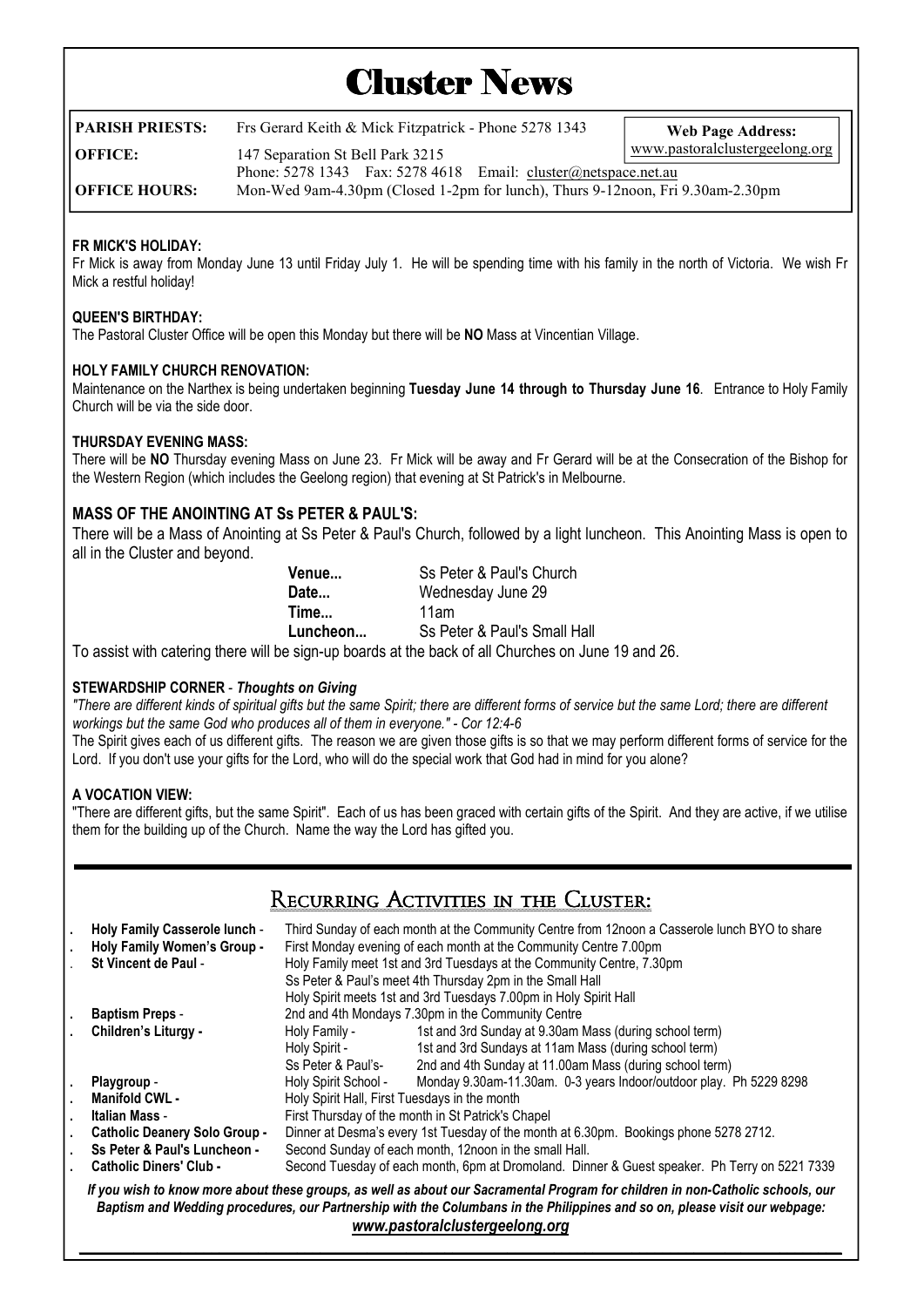# **Cluster News**

| PARISH PRIESTS:        | Frs Gerard Keith & Mick Fitzpatrick - Phone 5278 1343                          | <b>Web Page Address:</b> |  |  |
|------------------------|--------------------------------------------------------------------------------|--------------------------|--|--|
| OFFICE:                | www.pastoralclustergeelong.org<br>147 Separation St Bell Park 3215             |                          |  |  |
|                        | Phone: $5278$ 1343 Fax: $5278$ 4618 Email: cluster@netspace.net.au             |                          |  |  |
| <b>  OFFICE HOURS:</b> | Mon-Wed 9am-4.30pm (Closed 1-2pm for lunch), Thurs 9-12noon, Fri 9.30am-2.30pm |                          |  |  |

#### **FR MICK'S HOLIDAY:**

Fr Mick is away from Monday June 13 until Friday July 1. He will be spending time with his family in the north of Victoria. We wish Fr Mick a restful holiday!

#### **QUEEN'S BIRTHDAY:**

The Pastoral Cluster Office will be open this Monday but there will be **NO** Mass at Vincentian Village.

#### **HOLY FAMILY CHURCH RENOVATION:**

Maintenance on the Narthex is being undertaken beginning **Tuesday June 14 through to Thursday June 16**. Entrance to Holy Family Church will be via the side door.

#### **THURSDAY EVENING MASS:**

There will be **NO** Thursday evening Mass on June 23. Fr Mick will be away and Fr Gerard will be at the Consecration of the Bishop for the Western Region (which includes the Geelong region) that evening at St Patrick's in Melbourne.

### **MASS OF THE ANOINTING AT Ss PETER & PAUL'S:**

There will be a Mass of Anointing at Ss Peter & Paul's Church, followed by a light luncheon. This Anointing Mass is open to all in the Cluster and beyond.

| Venue                                                                                                               | Ss Peter & Paul's Church     |
|---------------------------------------------------------------------------------------------------------------------|------------------------------|
| Date                                                                                                                | Wednesday June 29            |
| Time                                                                                                                | 11am                         |
| Luncheon                                                                                                            | Ss Peter & Paul's Small Hall |
| المعطر المعاربات ومستحدث والمستحل والمتحا وطلياها واستعمالهم والمتواط الترز ومعالمته والمستحف والترز المتمورة والتر |                              |

To assist with catering there will be sign-up boards at the back of all Churches on June 19 and 26.

#### **STEWARDSHIP CORNER** - *Thoughts on Giving*

*"There are different kinds of spiritual gifts but the same Spirit; there are different forms of service but the same Lord; there are different workings but the same God who produces all of them in everyone." - Cor 12:4-6* 

The Spirit gives each of us different gifts. The reason we are given those gifts is so that we may perform different forms of service for the Lord. If you don't use your gifts for the Lord, who will do the special work that God had in mind for you alone?

#### **A VOCATION VIEW:**

"There are different gifts, but the same Spirit". Each of us has been graced with certain gifts of the Spirit. And they are active, if we utilise them for the building up of the Church. Name the way the Lord has gifted you.

## Recurring Activities in the Cluster:

|                                                                                                                                                                                                                                                                                                 | Holy Family Casserole lunch -<br>Holy Family Women's Group -<br><b>St Vincent de Paul -</b> | Third Sunday of each month at the Community Centre from 12noon a Casserole lunch BYO to share<br>First Monday evening of each month at the Community Centre 7.00pm<br>Holy Family meet 1st and 3rd Tuesdays at the Community Centre, 7.30pm<br>Ss Peter & Paul's meet 4th Thursday 2pm in the Small Hall<br>Holy Spirit meets 1st and 3rd Tuesdays 7.00pm in Holy Spirit Hall |                                                                    |  |
|-------------------------------------------------------------------------------------------------------------------------------------------------------------------------------------------------------------------------------------------------------------------------------------------------|---------------------------------------------------------------------------------------------|-------------------------------------------------------------------------------------------------------------------------------------------------------------------------------------------------------------------------------------------------------------------------------------------------------------------------------------------------------------------------------|--------------------------------------------------------------------|--|
|                                                                                                                                                                                                                                                                                                 | <b>Baptism Preps -</b>                                                                      | 2nd and 4th Mondays 7.30pm in the Community Centre                                                                                                                                                                                                                                                                                                                            |                                                                    |  |
|                                                                                                                                                                                                                                                                                                 | Children's Liturgy -                                                                        | Holy Family -                                                                                                                                                                                                                                                                                                                                                                 | 1st and 3rd Sunday at 9.30am Mass (during school term)             |  |
|                                                                                                                                                                                                                                                                                                 |                                                                                             | Holy Spirit -                                                                                                                                                                                                                                                                                                                                                                 | 1st and 3rd Sundays at 11am Mass (during school term)              |  |
|                                                                                                                                                                                                                                                                                                 |                                                                                             | Ss Peter & Paul's-                                                                                                                                                                                                                                                                                                                                                            | 2nd and 4th Sunday at 11.00am Mass (during school term)            |  |
| ٠                                                                                                                                                                                                                                                                                               | Playgroup -                                                                                 | Holy Spirit School -                                                                                                                                                                                                                                                                                                                                                          | Monday 9.30am-11.30am. 0-3 years Indoor/outdoor play. Ph 5229 8298 |  |
|                                                                                                                                                                                                                                                                                                 | <b>Manifold CWL -</b>                                                                       | Holy Spirit Hall, First Tuesdays in the month                                                                                                                                                                                                                                                                                                                                 |                                                                    |  |
|                                                                                                                                                                                                                                                                                                 | Italian Mass -                                                                              | First Thursday of the month in St Patrick's Chapel                                                                                                                                                                                                                                                                                                                            |                                                                    |  |
|                                                                                                                                                                                                                                                                                                 | <b>Catholic Deanery Solo Group -</b>                                                        | Dinner at Desma's every 1st Tuesday of the month at 6.30pm. Bookings phone 5278 2712.                                                                                                                                                                                                                                                                                         |                                                                    |  |
|                                                                                                                                                                                                                                                                                                 | Ss Peter & Paul's Luncheon -                                                                | Second Sunday of each month, 12noon in the small Hall.                                                                                                                                                                                                                                                                                                                        |                                                                    |  |
|                                                                                                                                                                                                                                                                                                 | <b>Catholic Diners' Club -</b>                                                              | Second Tuesday of each month, 6pm at Dromoland. Dinner & Guest speaker. Ph Terry on 5221 7339                                                                                                                                                                                                                                                                                 |                                                                    |  |
| If you wish to know more about these groups, as well as about our Sacramental Program for children in non-Catholic schools, our<br>Baptism and Wedding procedures, our Partnership with the Columbans in the Philippines and so on, please visit our webpage:<br>www.pastoralclustergeelong.org |                                                                                             |                                                                                                                                                                                                                                                                                                                                                                               |                                                                    |  |

*\_\_\_\_\_\_\_\_\_\_\_\_\_\_\_\_\_\_\_\_\_\_\_\_\_\_\_\_\_\_\_\_\_\_\_\_\_\_\_\_\_\_\_\_\_\_\_\_\_\_\_\_\_\_\_\_\_\_\_\_\_\_\_\_\_\_\_\_\_\_\_\_\_\_\_\_\_\_\_\_\_\_\_\_\_\_\_\_\_\_\_\_\_\_\_\_\_\_*